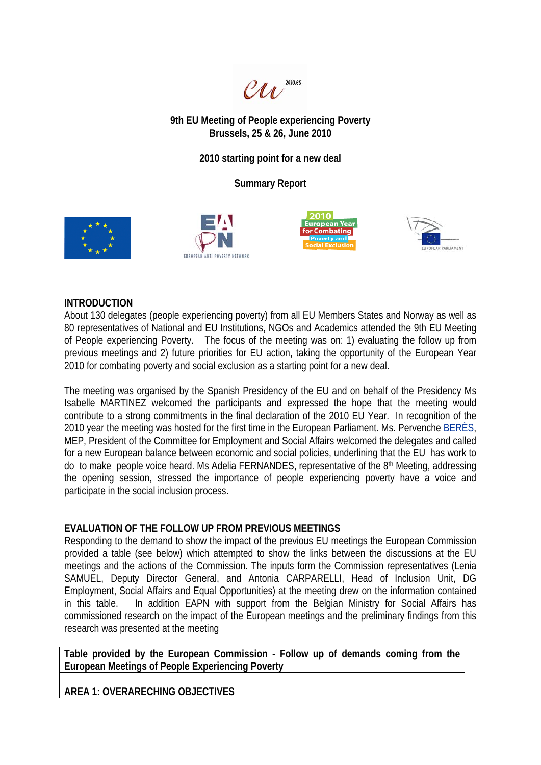

**9th EU Meeting of People experiencing Poverty Brussels, 25 & 26, June 2010** 

**2010 starting point for a new deal** 

**Summary Report** 









## **INTRODUCTION**

About 130 delegates (people experiencing poverty) from all EU Members States and Norway as well as 80 representatives of National and EU Institutions, NGOs and Academics attended the 9th EU Meeting of People experiencing Poverty. The focus of the meeting was on: 1) evaluating the follow up from previous meetings and 2) future priorities for EU action, taking the opportunity of the European Year 2010 for combating poverty and social exclusion as a starting point for a new deal.

The meeting was organised by the Spanish Presidency of the EU and on behalf of the Presidency Ms Isabelle MARTINEZ welcomed the participants and expressed the hope that the meeting would contribute to a strong commitments in the final declaration of the 2010 EU Year. In recognition of the 2010 year the meeting was hosted for the first time in the European Parliament. Ms. Pervenche BERÈS, MEP, President of the Committee for Employment and Social Affairs welcomed the delegates and called for a new European balance between economic and social policies, underlining that the EU has work to do to make people voice heard. Ms Adelia FERNANDES, representative of the 8<sup>th</sup> Meeting, addressing the opening session, stressed the importance of people experiencing poverty have a voice and participate in the social inclusion process.

## **EVALUATION OF THE FOLLOW UP FROM PREVIOUS MEETINGS**

Responding to the demand to show the impact of the previous EU meetings the European Commission provided a table (see below) which attempted to show the links between the discussions at the EU meetings and the actions of the Commission. The inputs form the Commission representatives (Lenia SAMUEL, Deputy Director General, and Antonia CARPARELLI, Head of Inclusion Unit, DG Employment, Social Affairs and Equal Opportunities) at the meeting drew on the information contained in this table. In addition EAPN with support from the Belgian Ministry for Social Affairs has commissioned research on the impact of the European meetings and the preliminary findings from this research was presented at the meeting

**Table provided by the European Commission - Follow up of demands coming from the European Meetings of People Experiencing Poverty** 

**AREA 1: OVERARECHING OBJECTIVES**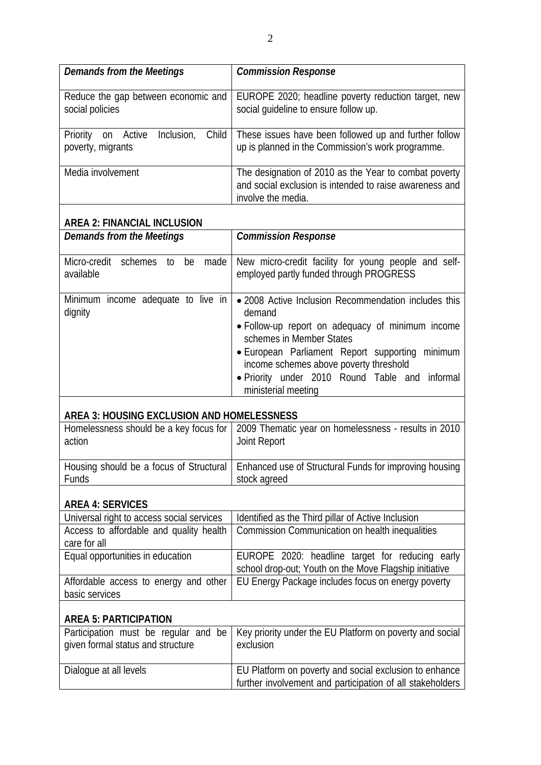| <b>Demands from the Meetings</b>                                          | <b>Commission Response</b>                                                                                                                                                                                                                                                                                              |
|---------------------------------------------------------------------------|-------------------------------------------------------------------------------------------------------------------------------------------------------------------------------------------------------------------------------------------------------------------------------------------------------------------------|
| Reduce the gap between economic and<br>social policies                    | EUROPE 2020; headline poverty reduction target, new<br>social guideline to ensure follow up.                                                                                                                                                                                                                            |
| Child<br>Priority on Active<br>Inclusion,<br>poverty, migrants            | These issues have been followed up and further follow<br>up is planned in the Commission's work programme.                                                                                                                                                                                                              |
| Media involvement                                                         | The designation of 2010 as the Year to combat poverty<br>and social exclusion is intended to raise awareness and<br>involve the media.                                                                                                                                                                                  |
| <b>AREA 2: FINANCIAL INCLUSION</b>                                        |                                                                                                                                                                                                                                                                                                                         |
| <b>Demands from the Meetings</b>                                          | <b>Commission Response</b>                                                                                                                                                                                                                                                                                              |
| Micro-credit<br>schemes to<br>made<br>be<br>available                     | New micro-credit facility for young people and self-<br>employed partly funded through PROGRESS                                                                                                                                                                                                                         |
| Minimum income adequate to live in<br>dignity                             | • 2008 Active Inclusion Recommendation includes this<br>demand<br>• Follow-up report on adequacy of minimum income<br>schemes in Member States<br>• European Parliament Report supporting<br>minimum<br>income schemes above poverty threshold<br>· Priority under 2010 Round Table and informal<br>ministerial meeting |
| AREA 3: HOUSING EXCLUSION AND HOMELESSNESS                                |                                                                                                                                                                                                                                                                                                                         |
| Homelessness should be a key focus for<br>action                          | 2009 Thematic year on homelessness - results in 2010<br>Joint Report                                                                                                                                                                                                                                                    |
| Funds                                                                     | Housing should be a focus of Structural   Enhanced use of Structural Funds for improving housing<br>stock agreed                                                                                                                                                                                                        |
| <b>AREA 4: SERVICES</b>                                                   |                                                                                                                                                                                                                                                                                                                         |
| Universal right to access social services                                 | Identified as the Third pillar of Active Inclusion                                                                                                                                                                                                                                                                      |
| Access to affordable and quality health<br>care for all                   | Commission Communication on health inequalities                                                                                                                                                                                                                                                                         |
| Equal opportunities in education                                          | EUROPE 2020: headline target for reducing early<br>school drop-out; Youth on the Move Flagship initiative                                                                                                                                                                                                               |
| Affordable access to energy and other<br>basic services                   | EU Energy Package includes focus on energy poverty                                                                                                                                                                                                                                                                      |
| <b>AREA 5: PARTICIPATION</b>                                              |                                                                                                                                                                                                                                                                                                                         |
| Participation must be regular and be<br>given formal status and structure | Key priority under the EU Platform on poverty and social<br>exclusion                                                                                                                                                                                                                                                   |
| Dialogue at all levels                                                    | EU Platform on poverty and social exclusion to enhance<br>further involvement and participation of all stakeholders                                                                                                                                                                                                     |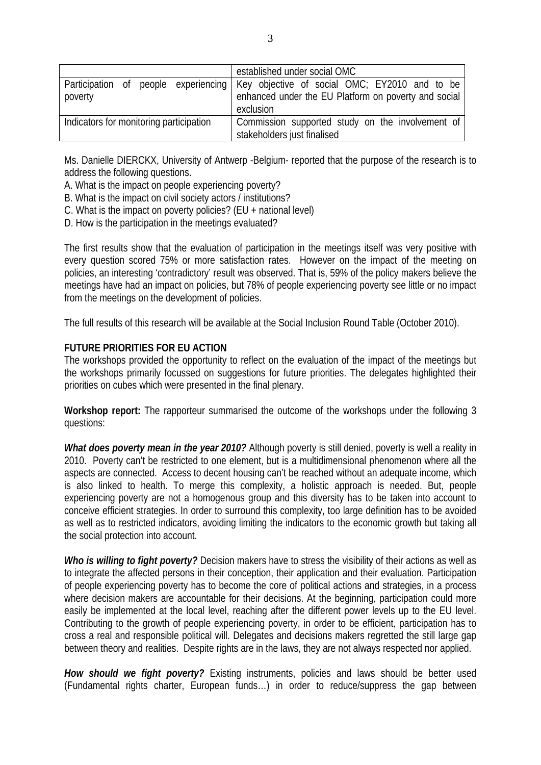|                                         | established under social OMC                                                         |
|-----------------------------------------|--------------------------------------------------------------------------------------|
|                                         | Participation of people experiencing   Key objective of social OMC; EY2010 and to be |
| poverty                                 | enhanced under the EU Platform on poverty and social<br>exclusion                    |
| Indicators for monitoring participation | Commission supported study on the involvement of<br>stakeholders just finalised      |

Ms. Danielle DIERCKX, University of Antwerp -Belgium- reported that the purpose of the research is to address the following questions.

A. What is the impact on people experiencing poverty?

- B. What is the impact on civil society actors / institutions?
- C. What is the impact on poverty policies? (EU + national level)
- D. How is the participation in the meetings evaluated?

The first results show that the evaluation of participation in the meetings itself was very positive with every question scored 75% or more satisfaction rates. However on the impact of the meeting on policies, an interesting 'contradictory' result was observed. That is, 59% of the policy makers believe the meetings have had an impact on policies, but 78% of people experiencing poverty see little or no impact from the meetings on the development of policies.

The full results of this research will be available at the Social Inclusion Round Table (October 2010).

## **FUTURE PRIORITIES FOR EU ACTION**

The workshops provided the opportunity to reflect on the evaluation of the impact of the meetings but the workshops primarily focussed on suggestions for future priorities. The delegates highlighted their priorities on cubes which were presented in the final plenary.

**Workshop report:** The rapporteur summarised the outcome of the workshops under the following 3 questions:

*What does poverty mean in the year 2010?* Although poverty is still denied, poverty is well a reality in 2010. Poverty can't be restricted to one element, but is a multidimensional phenomenon where all the aspects are connected. Access to decent housing can't be reached without an adequate income, which is also linked to health. To merge this complexity, a holistic approach is needed. But, people experiencing poverty are not a homogenous group and this diversity has to be taken into account to conceive efficient strategies. In order to surround this complexity, too large definition has to be avoided as well as to restricted indicators, avoiding limiting the indicators to the economic growth but taking all the social protection into account.

*Who is willing to fight poverty?* Decision makers have to stress the visibility of their actions as well as to integrate the affected persons in their conception, their application and their evaluation. Participation of people experiencing poverty has to become the core of political actions and strategies, in a process where decision makers are accountable for their decisions. At the beginning, participation could more easily be implemented at the local level, reaching after the different power levels up to the EU level. Contributing to the growth of people experiencing poverty, in order to be efficient, participation has to cross a real and responsible political will. Delegates and decisions makers regretted the still large gap between theory and realities. Despite rights are in the laws, they are not always respected nor applied.

*How should we fight poverty?* Existing instruments, policies and laws should be better used (Fundamental rights charter, European funds…) in order to reduce/suppress the gap between